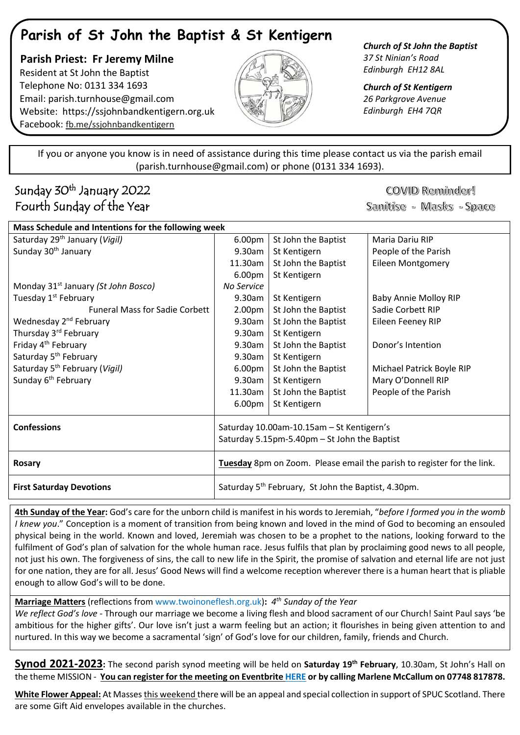## **Parish of St John the Baptist & St Kentigern**

 **Parish Priest: Fr Jeremy Milne** Resident at St John the Baptist Telephone No: 0131 334 1693 Email: [parish.turnhouse@gmail.com](mailto:parish.turnhouse@gmail.com)  Website: [https://ssjohnbandkentigern.org.uk](https://ssjohnbandkentigern.org.uk/) Facebook: [fb.me/ssjohnbandkentigern](https://fb.me/ssjohnbandkentigern)



*Church of St John the Baptist 37 St Ninian's Road Edinburgh EH12 8AL*

*Church of St Kentigern 26 Parkgrove Avenue Edinburgh EH4 7QR*

֡֡֡֡֡ If you or anyone you know is in need of assistance during this time please contact us via the parish email (parish.turnhouse@gmail.com) or phone (0131 334 1693).

I

l j

## Sunday 30<sup>th</sup> January 2022 Fourth Sunday of the Year

COVID Reminder! Sanitise - Masks - Space

| Mass Schedule and Intentions for the following week |                                                                                           |                     |                              |
|-----------------------------------------------------|-------------------------------------------------------------------------------------------|---------------------|------------------------------|
| Saturday 29 <sup>th</sup> January (Vigil)           | 6.00pm                                                                                    | St John the Baptist | Maria Dariu RIP              |
| Sunday 30 <sup>th</sup> January                     | 9.30am                                                                                    | St Kentigern        | People of the Parish         |
|                                                     | 11.30am                                                                                   | St John the Baptist | <b>Eileen Montgomery</b>     |
|                                                     | 6.00 <sub>pm</sub>                                                                        | St Kentigern        |                              |
| Monday 31 <sup>st</sup> January (St John Bosco)     | No Service                                                                                |                     |                              |
| Tuesday 1 <sup>st</sup> February                    | 9.30am                                                                                    | St Kentigern        | <b>Baby Annie Molloy RIP</b> |
| <b>Funeral Mass for Sadie Corbett</b>               | 2.00 <sub>pm</sub>                                                                        | St John the Baptist | Sadie Corbett RIP            |
| Wednesday 2 <sup>nd</sup> February                  | 9.30am                                                                                    | St John the Baptist | Eileen Feeney RIP            |
| Thursday 3rd February                               | 9.30am                                                                                    | St Kentigern        |                              |
| Friday 4 <sup>th</sup> February                     | 9.30am                                                                                    | St John the Baptist | Donor's Intention            |
| Saturday 5 <sup>th</sup> February                   | 9.30am                                                                                    | St Kentigern        |                              |
| Saturday 5 <sup>th</sup> February (Vigil)           | 6.00 <sub>pm</sub>                                                                        | St John the Baptist | Michael Patrick Boyle RIP    |
| Sunday 6 <sup>th</sup> February                     | 9.30am                                                                                    | St Kentigern        | Mary O'Donnell RIP           |
|                                                     | 11.30am                                                                                   | St John the Baptist | People of the Parish         |
|                                                     | 6.00pm                                                                                    | St Kentigern        |                              |
| <b>Confessions</b>                                  | Saturday 10.00am-10.15am - St Kentigern's<br>Saturday 5.15pm-5.40pm - St John the Baptist |                     |                              |
| <b>Rosary</b>                                       | Tuesday 8pm on Zoom. Please email the parish to register for the link.                    |                     |                              |
| <b>First Saturday Devotions</b>                     | Saturday 5 <sup>th</sup> February, St John the Baptist, 4.30pm.                           |                     |                              |

**4th Sunday of the Year:** God's care for the unborn child is manifest in his words to Jeremiah, "*before I formed you in the womb I knew you*." Conception is a moment of transition from being known and loved in the mind of God to becoming an ensouled physical being in the world. Known and loved, Jeremiah was chosen to be a prophet to the nations, looking forward to the fulfilment of God's plan of salvation for the whole human race. Jesus fulfils that plan by proclaiming good news to all people, not just his own. The forgiveness of sins, the call to new life in the Spirit, the promise of salvation and eternal life are not just for one nation, they are for all. Jesus' Good News will find a welcome reception wherever there is a human heart that is pliable enough to allow God's will to be done.

**Marriage Matters** (reflections fro[m www.twoinoneflesh.org.uk\)](https://d.docs.live.net/f73d0dbfde17d20a/Documents/Church%202020/Newsletter/November/www.twoinoneflesh.org.uk)**:** *4 th Sunday of the Year*

*We reflect God's love* - Through our marriage we become a living flesh and blood sacrament of our Church! Saint Paul says 'be ambitious for the higher gifts'. Our love isn't just a warm feeling but an action; it flourishes in being given attention to and nurtured. In this way we become a sacramental 'sign' of God's love for our children, family, friends and Church.

**Synod 2021-2023:** The second parish synod meeting will be held on **Saturday 19th February**, 10.30am, St John's Hall on the theme MISSION - **You can register for the meeting on Eventbrite [HERE](https://www.eventbrite.co.uk/e/parish-synod-meeting-tickets-212714754557) or by calling Marlene McCallum on 07748 817878.**

**White Flower Appeal:** At Masses this weekend there will be an appeal and special collection in support of SPUC Scotland. There are some Gift Aid envelopes available in the churches.